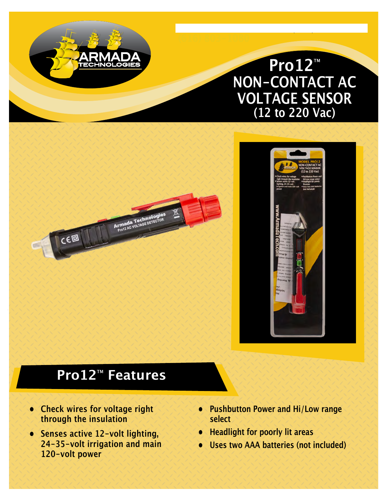# **Pro12**™ **NON-CONTACT AC VOLTAGE SENSOR (12 to 220 Vac)**

**www.armadatech.com • (616) 803-1080** 



# **Pro12**™ **Features**

Armada Technol

TECHNOLOGIES

**• Check wires for voltage right through the insulation**

 $\epsilon$ ø

- **• Senses active 12-volt lighting, 24-35-volt irrigation and main 120-volt power**
- **• Pushbutton Power and Hi/Low range select**
- **• Headlight for poorly lit areas**
- **• Uses two AAA batteries (not included)**